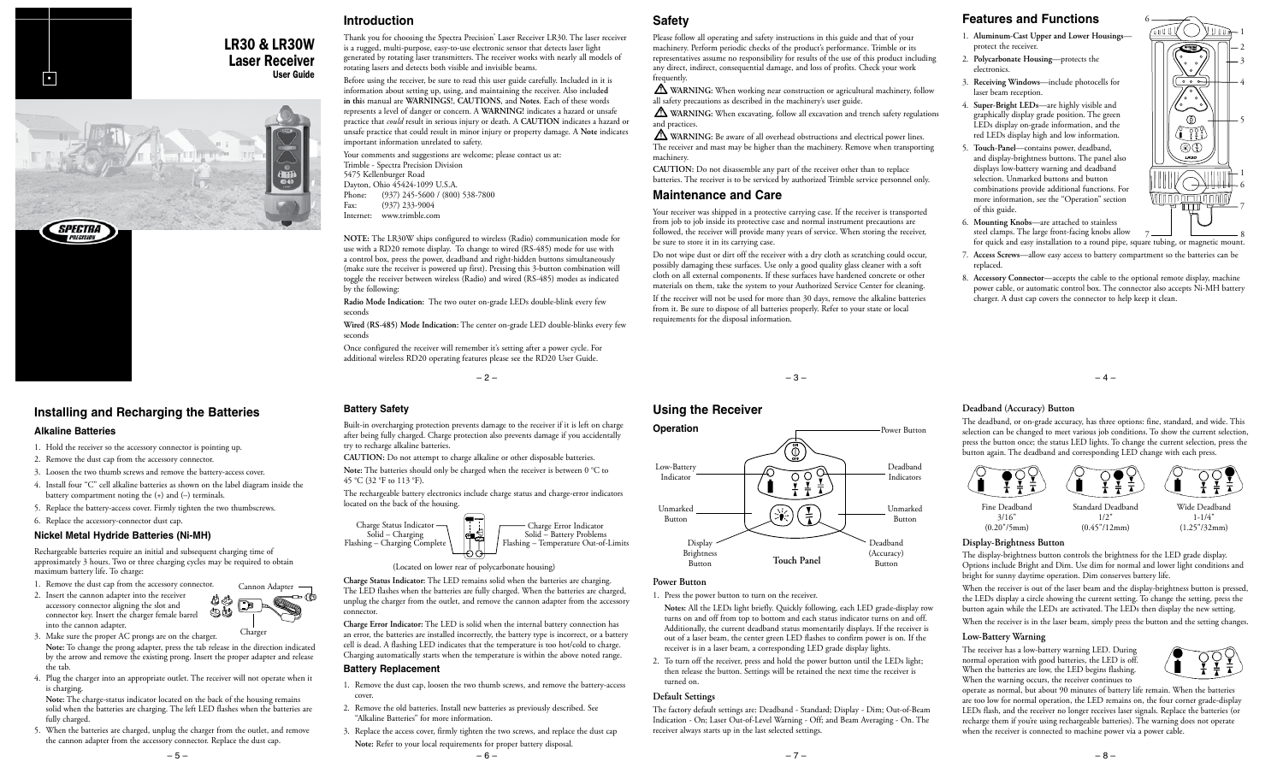# **Introduction**

LR30 & LR30W **Laser Receiver**<br>User Guide User Guide •

important information unrelated to safety. Your comments and suggestions are welcome; please contact us at:

Trimble - Spectra Precision Division 5475 Kellenburger Road Dayton, Ohio 45424-1099 U.S.A.<br>Phone: (937) 245-5600 / (800 Phone: (937) 245-5600 / (800) 538-7800<br>Fax: (937) 233-9004  $(937)$  233-9004 Internet: www.trimble.com

**NOTE:** The LR30W ships configured to wireless (Radio) communication mode for use with a RD20 remote display. To change to wired (RS-485) mode for use with a control box, press the power, deadband and right-hidden buttons simultaneously (make sure the receiver is powered up first). Pressing this 3-button combination will toggle the receiver between wireless (Radio) and wired (RS-485) modes as indicated by the following:

**Wired (RS-485) Mode Indication:** The center on-grade LED double-blinks every few seconds

Once configured the receiver will remember it's setting after a power cycle. For additional wireless RD20 operating features please see the RD20 User Guide.

 $-2-$ 

# **Installing and Recharging the Batteries**

### **Alkaline Batteries**

**SPECTRA** 

- 1. Hold the receiver so the accessory connector is pointing up.
- 2. Remove the dust cap from the accessory connector.
- 3. Loosen the two thumb screws and remove the battery-access cover.
- 4. Install four "C" cell alkaline batteries as shown on the label diagram inside the battery compartment noting the (+) and (–) terminals.
- 5. Replace the battery-access cover. Firmly tighten the two thumbscrews.
- 6. Replace the accessory-connector dust cap.

# **Nickel Metal Hydride Batteries (Ni-MH)**

Rechargeable batteries require an initial and subsequent charging time of approximately 3 hours. Two or three charging cycles may be required to obtain maximum battery life. To charge:

- 1. Remove the dust cap from the accessory connector.
- 2. Insert the cannon adapter into the receiver accessory connector aligning the slot and 90 connector key. Insert the charger female barrel into the cannon adapter.
- 3. Make sure the proper AC prongs are on the charger. **Note:** To change the prong adapter, press the tab release in the direction indicated by the arrow and remove the existing prong. Insert the proper adapter and release the tab. Charge
- 4. Plug the charger into an appropriate outlet. The receiver will not operate when it is charging.

**Note:** The charge-status indicator located on the back of the housing remains solid when the batteries are charging. The left LED flashes when the batteries are fully charged.

5. When the batteries are charged, unplug the charger from the outlet, and remove the cannon adapter from the accessory connector. Replace the dust cap.

**Safety**

frequently.

and practices.

machinery.

**Maintenance and Care**

be sure to store it in its carrying case.

requirements for the disposal information.

**Using the Receiver**

**Operation**

Low-Battery **Indicator** 

Unmarked Button

**Power Button**

Display Brightness Button

turned on. **Default Settings**

1. Press the power button to turn on the receiver.

receiver always starts up in the last selected settings.

**Notes:** All the LEDs light briefly. Quickly following, each LED grade-display row turns on and off from top to bottom and each status indicator turns on and off. Additionally, the current deadband status momentarily displays. If the receiver is out of a laser beam, the center green LED flashes to confirm power is on. If the receiver is in a laser beam, a corresponding LED grade display lights. 2. To turn off the receiver, press and hold the power button until the LEDs light; then release the button. Settings will be retained the next time the receiver is

 $\ddot{\odot}$ 

 $(\ast)$ 

 $\overline{O}$  O

 $rac{1}{\tau}$ 

**Touch Panel** Button

The factory default settings are: Deadband - Standard; Display - Dim; Out-of-Beam Indication - On; Laser Out-of-Level Warning - Off; and Beam Averaging - On. The

Please follow all operating and safety instructions in this guide and that of your machinery. Perform periodic checks of the product's performance. Trimble or its representatives assume no responsibility for results of the use of this product including any direct, indirect, consequential damage, and loss of profits. Check your work

all safety precautions as described in the machinery's user guide.

 $\Delta$  WARNING: When working near construction or agricultural machinery, follow

 $\Delta$  WARNING: When excavating, follow all excavation and trench safety regulations

 **WARNING:** Be aware of all overhead obstructions and electrical power lines. The receiver and mast may be higher than the machinery. Remove when transporting

Your receiver was shipped in a protective carrying case. If the receiver is transported from job to job inside its protective case and normal instrument precautions are followed, the receiver will provide many years of service. When storing the receiver,

Do not wipe dust or dirt off the receiver with a dry cloth as scratching could occur, possibly damaging these surfaces. Use only a good quality glass cleaner with a soft cloth on all external components. If these surfaces have hardened concrete or other materials on them, take the system to your Authorized Service Center for cleaning. If the receiver will not be used for more than 30 days, remove the alkaline batteries from it. Be sure to dispose of all batteries properly. Refer to your state or local

**CAUTION:** Do not disassemble any part of the receiver other than to replace batteries. The receiver is to be serviced by authorized Trimble service personnel only.

Thank you for choosing the Spectra Precision<sup>®</sup> Laser Receiver LR30. The laser receiver is a rugged, multi-purpose, easy-to-use electronic sensor that detects laser light generated by rotating laser transmitters. The receiver works with nearly all models of rotating lasers and detects both visible and invisible beams.

Before using the receiver, be sure to read this user guide carefully. Included in it is information about setting up, using, and maintaining the receiver. Also includ**ed in thi**s manual are **WARNINGS!**, **CAUTIONS**, and **Notes**. Each of these words represents a level of danger or concern. A **WARNING!** indicates a hazard or unsafe practice that *could* result in serious injury or death. A **CAUTION** indicates a hazard or unsafe practice that could result in minor injury or property damage. A **Note** indicates

**Radio Mode Indication:** The two outer on-grade LEDs double-blink every few seconds

# **Battery Safety**

Built-in overcharging protection prevents damage to the receiver if it is left on charge after being fully charged. Charge protection also prevents damage if you accidentally try to recharge alkaline batteries.

**CAUTION:** Do not attempt to charge alkaline or other disposable batteries.

**Note:** The batteries should only be charged when the receiver is between 0 °C to 45 °C (32 °F to 113 °F).

The rechargeable battery electronics include charge status and charge-error indicators located on the back of the housing.



The LED flashes when the batteries are fully charged. When the batteries are charged, unplug the charger from the outlet, and remove the cannon adapter from the accessory connector.

an error, the batteries are installed incorrectly, the battery type is incorrect, or a battery cell is dead. A flashing LED indicates that the temperature is too hot/cold to charge. Charging automatically starts when the temperature is within the above noted range.

### **Battery Replacement**

- "Alkaline Batteries" for more information.
- 3. Replace the access cover, firmly tighten the two screws, and replace the dust cap **Note:** Refer to your local requirements for proper battery disposal.

# **Features and Functions**

- 1. **Aluminum-Cast Upper and Lower Housings** protect the receiver.
- 2. **Polycarbonate Housing**—protects the electronics.
- 3. **Receiving Windows**—include photocells for laser beam reception.
- 4. **Super-Bright LEDs**—are highly visible and graphically display grade position. The green LEDs display on-grade information, and the red LEDs display high and low information.
- 5. **Touch-Panel**—contains power, deadband, and display-brightness buttons. The panel also displays low-battery warning and deadband selection. Unmarked buttons and button combinations provide additional functions. For more information, see the "Operation" section of this guide.
- 6. **Mounting Knobs**—are attached to stainless steel clamps. The large front-facing knobs allow
	- for quick and easy installation to a round pipe, square tubing, or magnetic mount. 7 8
- 7. **Access Screws**—allow easy access to battery compartment so the batteries can be replaced.
- 8. **Accessory Connector**—accepts the cable to the optional remote display, machine power cable, or automatic control box. The connector also accepts Ni-MH battery charger. A dust cap covers the connector to help keep it clean.

**Deadband (Accuracy) Button**

 $-3-$ 

Deadband<br>(Accuracy)

Deadband Indicators

Power Button

Unmarked Button

The deadband, or on-grade accuracy, has three options: fine, standard, and wide. This selection can be changed to meet various job conditions. To show the current selection, press the button once; the status LED lights. To change the current selection, press the button again. The deadband and corresponding LED change with each press.



## **Display-Brightness Button**

The display-brightness button controls the brightness for the LED grade display. Options include Bright and Dim. Use dim for normal and lower light conditions and bright for sunny daytime operation. Dim conserves battery life.

When the receiver is out of the laser beam and the display-brightness button is pressed, the LEDs display a circle showing the current setting. To change the setting, press the button again while the LEDs are activated. The LEDs then display the new setting.

When the receiver is in the laser beam, simply press the button and the setting changes.

## **Low-Battery Warning**

The receiver has a low-battery warning LED. During normal operation with good batteries, the LED is off. When the batteries are low, the LED begins flashing. When the warning occurs, the receiver continues to



operate as normal, but about 90 minutes of battery life remain. When the batteries are too low for normal operation, the LED remains on, the four corner grade-display LEDs flash, and the receiver no longer receives laser signals. Replace the batteries (or recharge them if you're using rechargeable batteries). The warning does not operate when the receiver is connected to machine power via a power cable.











**Charge Status Indicator:** The LED remains solid when the batteries are charging.

**Charge Error Indicator:** The LED is solid when the internal battery connection has

1. Remove the dust cap, loosen the two thumb screws, and remove the battery-access cover.

2. Remove the old batteries. Install new batteries as previously described. See